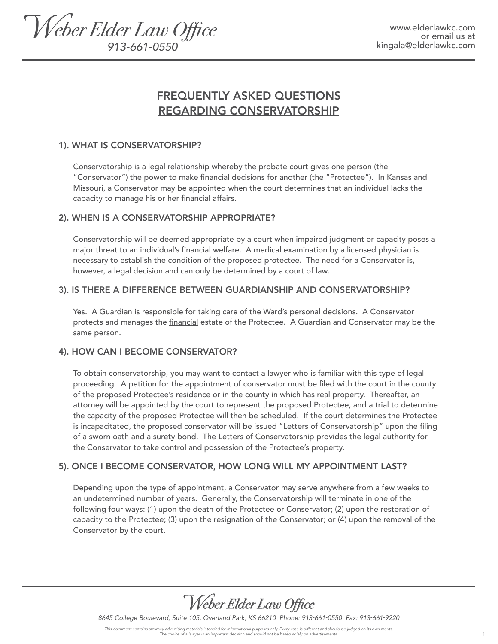

# FREQUENTLY ASKED QUESTIONS REGARDING CONSERVATORSHIP

## 1). WHAT IS CONSERVATORSHIP?

Conservatorship is a legal relationship whereby the probate court gives one person (the "Conservator") the power to make financial decisions for another (the "Protectee"). In Kansas and Missouri, a Conservator may be appointed when the court determines that an individual lacks the capacity to manage his or her financial affairs.

## 2). WHEN IS A CONSERVATORSHIP APPROPRIATE?

Conservatorship will be deemed appropriate by a court when impaired judgment or capacity poses a major threat to an individual's financial welfare. A medical examination by a licensed physician is necessary to establish the condition of the proposed protectee. The need for a Conservator is, however, a legal decision and can only be determined by a court of law.

# 3). IS THERE A DIFFERENCE BETWEEN GUARDIANSHIP AND CONSERVATORSHIP?

Yes. A Guardian is responsible for taking care of the Ward's personal decisions. A Conservator protects and manages the *financial* estate of the Protectee. A Guardian and Conservator may be the same person.

#### 4). HOW CAN I BECOME CONSERVATOR?

To obtain conservatorship, you may want to contact a lawyer who is familiar with this type of legal proceeding. A petition for the appointment of conservator must be filed with the court in the county of the proposed Protectee's residence or in the county in which has real property. Thereafter, an attorney will be appointed by the court to represent the proposed Protectee, and a trial to determine the capacity of the proposed Protectee will then be scheduled. If the court determines the Protectee is incapacitated, the proposed conservator will be issued "Letters of Conservatorship" upon the filing of a sworn oath and a surety bond. The Letters of Conservatorship provides the legal authority for the Conservator to take control and possession of the Protectee's property.

# 5). ONCE I BECOME CONSERVATOR, HOW LONG WILL MY APPOINTMENT LAST?

Depending upon the type of appointment, a Conservator may serve anywhere from a few weeks to an undetermined number of years. Generally, the Conservatorship will terminate in one of the following four ways: (1) upon the death of the Protectee or Conservator; (2) upon the restoration of capacity to the Protectee; (3) upon the resignation of the Conservator; or (4) upon the removal of the Conservator by the court.



*8645 College Boulevard, Suite 105, Overland Park, KS 66210 Phone: 913-661-0550 Fax: 913-661-9220*